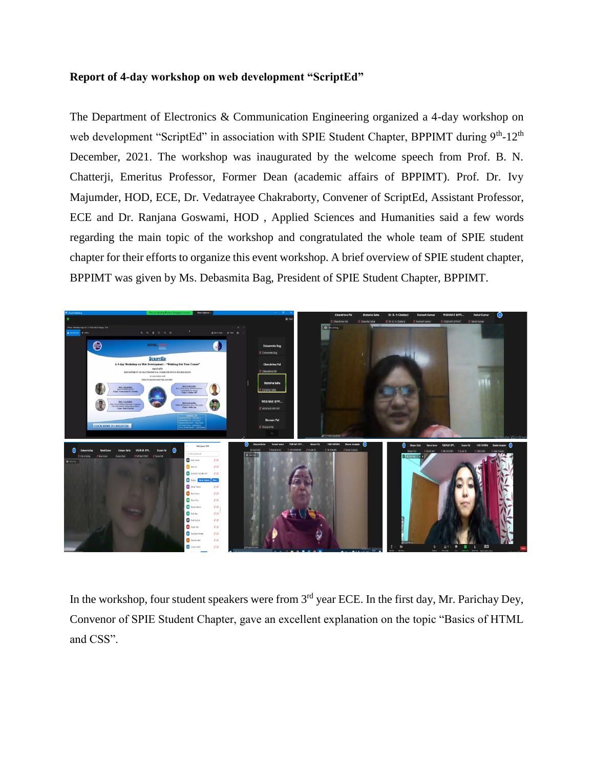## **Report of 4-day workshop on web development "ScriptEd"**

The Department of Electronics & Communication Engineering organized a 4-day workshop on web development "ScriptEd" in association with SPIE Student Chapter, BPPIMT during 9<sup>th</sup>-12<sup>th</sup> December, 2021. The workshop was inaugurated by the welcome speech from Prof. B. N. Chatterji, Emeritus Professor, Former Dean (academic affairs of BPPIMT). Prof. Dr. Ivy Majumder, HOD, ECE, Dr. Vedatrayee Chakraborty, Convener of ScriptEd, Assistant Professor, ECE and Dr. Ranjana Goswami, HOD , Applied Sciences and Humanities said a few words regarding the main topic of the workshop and congratulated the whole team of SPIE student chapter for their efforts to organize this event workshop. A brief overview of SPIE student chapter, BPPIMT was given by Ms. Debasmita Bag, President of SPIE Student Chapter, BPPIMT.



In the workshop, four student speakers were from  $3<sup>rd</sup>$  year ECE. In the first day, Mr. Parichay Dey, Convenor of SPIE Student Chapter, gave an excellent explanation on the topic "Basics of HTML and CSS".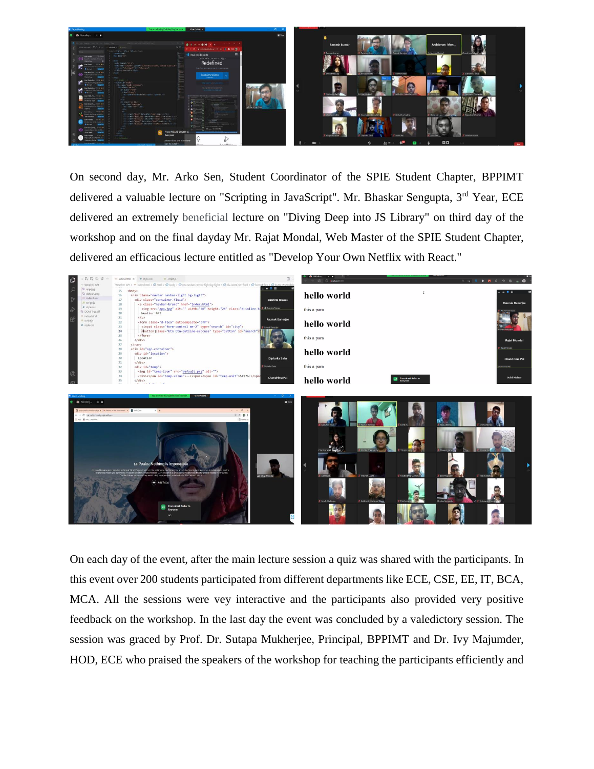

On second day, Mr. Arko Sen, Student Coordinator of the SPIE Student Chapter, BPPIMT delivered a valuable lecture on "Scripting in JavaScript". Mr. Bhaskar Sengupta, 3<sup>rd</sup> Year, ECE delivered an extremely beneficial lecture on "Diving Deep into JS Library" on third day of the workshop and on the final dayday Mr. Rajat Mondal, Web Master of the SPIE Student Chapter, delivered an efficacious lecture entitled as "Develop Your Own Netflix with React."



On each day of the event, after the main lecture session a quiz was shared with the participants. In this event over 200 students participated from different departments like ECE, CSE, EE, IT, BCA, MCA. All the sessions were vey interactive and the participants also provided very positive feedback on the workshop. In the last day the event was concluded by a valedictory session. The session was graced by Prof. Dr. Sutapa Mukherjee, Principal, BPPIMT and Dr. Ivy Majumder, HOD, ECE who praised the speakers of the workshop for teaching the participants efficiently and